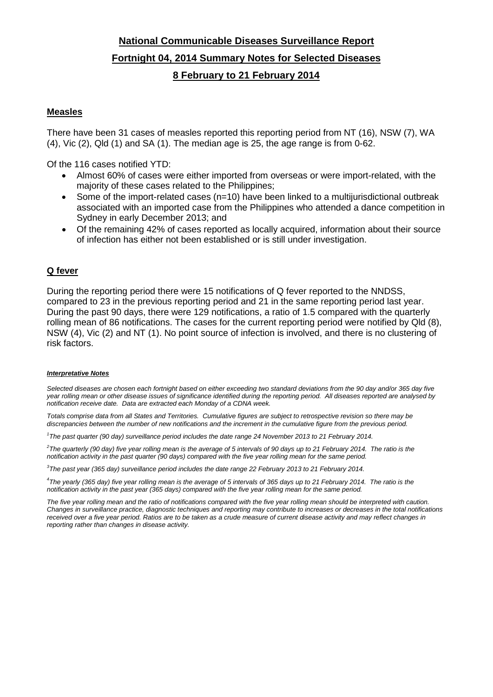# **National Communicable Diseases Surveillance Report Fortnight 04, 2014 Summary Notes for Selected Diseases 8 February to 21 February 2014**

## **Measles**

There have been 31 cases of measles reported this reporting period from NT (16), NSW (7), WA  $(4)$ , Vic  $(2)$ , Qld  $(1)$  and SA  $(1)$ . The median age is 25, the age range is from 0-62.

Of the 116 cases notified YTD:

- Almost 60% of cases were either imported from overseas or were import-related, with the majority of these cases related to the Philippines;
- Some of the import-related cases  $(n=10)$  have been linked to a multijurisdictional outbreak associated with an imported case from the Philippines who attended a dance competition in Sydney in early December 2013; and
- Of the remaining 42% of cases reported as locally acquired, information about their source of infection has either not been established or is still under investigation.

### **Q fever**

During the reporting period there were 15 notifications of Q fever reported to the NNDSS, compared to 23 in the previous reporting period and 21 in the same reporting period last year. During the past 90 days, there were 129 notifications, a ratio of 1.5 compared with the quarterly rolling mean of 86 notifications. The cases for the current reporting period were notified by Qld (8), NSW (4), Vic (2) and NT (1). No point source of infection is involved, and there is no clustering of risk factors.

### *Interpretative Notes*

*Selected diseases are chosen each fortnight based on either exceeding two standard deviations from the 90 day and/or 365 day five year rolling mean or other disease issues of significance identified during the reporting period. All diseases reported are analysed by notification receive date. Data are extracted each Monday of a CDNA week.*

*Totals comprise data from all States and Territories. Cumulative figures are subject to retrospective revision so there may be discrepancies between the number of new notifications and the increment in the cumulative figure from the previous period.*

*1 The past quarter (90 day) surveillance period includes the date range 24 November 2013 to 21 February 2014.* 

*2 The quarterly (90 day) five year rolling mean is the average of 5 intervals of 90 days up to 21 February 2014. The ratio is the notification activity in the past quarter (90 days) compared with the five year rolling mean for the same period.*

*3 The past year (365 day) surveillance period includes the date range 22 February 2013 to 21 February 2014.* 

*4 The yearly (365 day) five year rolling mean is the average of 5 intervals of 365 days up to 21 February 2014. The ratio is the notification activity in the past year (365 days) compared with the five year rolling mean for the same period.*

The five year rolling mean and the ratio of notifications compared with the five year rolling mean should be interpreted with caution. *Changes in surveillance practice, diagnostic techniques and reporting may contribute to increases or decreases in the total notifications received over a five year period. Ratios are to be taken as a crude measure of current disease activity and may reflect changes in reporting rather than changes in disease activity.*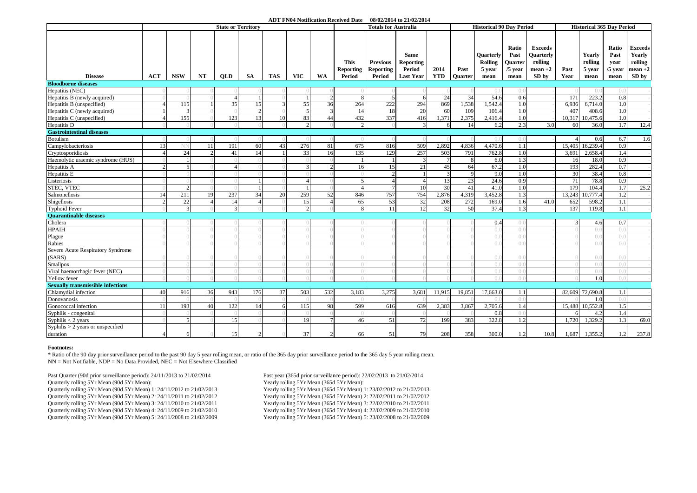#### **ADT FN04 Notification Received Date 08/02/2014 to 21/02/2014**

|                                                 | <b>State or Territory</b> |                          |          |              |                |            |                          |               |                                    | <b>Totals for Australia</b>            |                                                               |                    |                 | <b>Historical 90 Day Period</b>                      |                                               |                                                                     |              | <b>Historical 365 Day Period</b>    |                                            |                                                            |  |
|-------------------------------------------------|---------------------------|--------------------------|----------|--------------|----------------|------------|--------------------------|---------------|------------------------------------|----------------------------------------|---------------------------------------------------------------|--------------------|-----------------|------------------------------------------------------|-----------------------------------------------|---------------------------------------------------------------------|--------------|-------------------------------------|--------------------------------------------|------------------------------------------------------------|--|
| <b>Disease</b>                                  | <b>ACT</b>                | <b>NSW</b>               | NT       | <b>OLD</b>   | <b>SA</b>      | <b>TAS</b> | <b>VIC</b>               | <b>WA</b>     | This<br><b>Reporting</b><br>Period | <b>Previous</b><br>Reporting<br>Period | <b>Same</b><br><b>Reporting</b><br>Period<br><b>Last Year</b> | 2014<br><b>YTD</b> | Past<br>Ouarter | <b>Ouarterly</b><br><b>Rolling</b><br>5 year<br>mean | Ratio<br>Past<br>Quarter<br>$/5$ year<br>mean | <b>Exceeds</b><br><b>Ouarterly</b><br>rolling<br>$mean +2$<br>SD by | Past<br>Year | Yearly<br>rolling<br>5 year<br>mean | Ratio<br>Past<br>year<br>$/5$ year<br>mean | <b>Exceeds</b><br>Yearly<br>rolling<br>$mean + 2$<br>SD by |  |
| <b>Bloodborne diseases</b>                      |                           |                          |          |              |                |            |                          |               |                                    |                                        |                                                               |                    |                 |                                                      |                                               |                                                                     |              |                                     |                                            |                                                            |  |
| Hepatitis (NEC)                                 |                           |                          |          |              |                |            |                          |               |                                    |                                        |                                                               |                    |                 | $\Omega$ .                                           | $\Omega$ .                                    |                                                                     |              | $()$ .                              |                                            |                                                            |  |
| Hepatitis B (newly acquired)                    |                           |                          |          | Δ            | $\mathbf{1}$   |            |                          | $\mathcal{D}$ |                                    |                                        | 6                                                             | 24                 | 34              | 54.6                                                 | 0.6                                           |                                                                     | 171          | 223.2                               | 0.8                                        |                                                            |  |
| Hepatitis B (unspecified)                       |                           | 115                      |          | 35           | 15             |            | 55                       | 36            | 264                                | 222                                    | 294                                                           | 869                | .538            | 1,542.4                                              | 1.0                                           |                                                                     | 6,936        | 6,714.0                             | 1.0                                        |                                                            |  |
| Hepatitis C (newly acquired)                    |                           | 3                        |          |              | $\mathfrak{D}$ |            | $\overline{\phantom{1}}$ |               | -14                                | 18                                     | 20                                                            | 60                 | 109             | 106.4                                                | 1.0                                           |                                                                     | 407          | 408.6                               | 1.0                                        |                                                            |  |
| Hepatitis C (unspecified)                       |                           | 155                      |          | 123          | 13             | 10         | 83                       | 44            | 432                                | 337                                    | 416                                                           | 1,371              | 2,375           | 2,416.4                                              | 1.0                                           |                                                                     | 10,317       | 10,475.6                            | 1.0                                        |                                                            |  |
| Hepatitis D                                     |                           |                          |          |              |                |            |                          |               | $\mathcal{D}$                      |                                        | $\mathcal{R}$                                                 | -6                 | 14              | 6.2                                                  | 2.3                                           | 3.0                                                                 | 60           | 36.0                                | 1.7                                        | 12.4                                                       |  |
| <b>Gastrointestinal diseases</b>                |                           |                          |          |              |                |            |                          |               |                                    |                                        |                                                               |                    |                 |                                                      |                                               |                                                                     |              |                                     |                                            |                                                            |  |
| Botulism                                        |                           |                          |          |              |                |            |                          |               |                                    |                                        |                                                               |                    |                 | $()$ .                                               | $\theta$ .                                    |                                                                     | $\Lambda$    | 0.6                                 | 6.7                                        | 1.6                                                        |  |
| Campylobacteriosis                              | 13                        |                          | 11       | 191          | 60             | 43         | 276                      | 81            | 675                                | 816                                    | 509                                                           | 2,892              | 4,836           | 4,470.6                                              | 1.1                                           |                                                                     |              | 15,405 16,239.4                     | 0.9                                        |                                                            |  |
| Cryptosporidiosis                               |                           | 24                       |          | 41           | 14             |            | 33                       | 16            | 135                                | 129                                    | 257                                                           | 503                | 791             | 762.8                                                | 1.0                                           |                                                                     | 3,691        | 2.658.4                             | 1.4                                        |                                                            |  |
| Haemolytic uraemic syndrome (HUS)               |                           |                          |          |              |                |            |                          |               |                                    |                                        | 3                                                             | 7                  | -8              | 6.0                                                  | 1.3                                           |                                                                     | 16           | 18.0                                | 0.9                                        |                                                            |  |
| Hepatitis A                                     |                           | $\overline{\phantom{1}}$ |          |              |                |            |                          |               | 16                                 | 15                                     | 21                                                            | 45                 | 64              | 67.2                                                 | 1.0                                           |                                                                     | 193          | 282.4                               | 0.7                                        |                                                            |  |
| Hepatitis E                                     |                           |                          |          |              |                |            |                          |               |                                    |                                        |                                                               | $\mathbf{z}$       | $\mathbf{Q}$    | 9.0                                                  | 1.0                                           |                                                                     | 30           | 38.4                                | 0.8                                        |                                                            |  |
| Listeriosis                                     |                           |                          |          |              |                |            |                          |               |                                    |                                        | $\overline{4}$                                                | 13                 | 23              | 24.6                                                 | 0.9                                           |                                                                     | 71           | 78.8                                | 0.9                                        |                                                            |  |
| STEC, VTEC                                      |                           | $\overline{2}$           |          |              | 1              |            |                          |               |                                    |                                        | 10                                                            | 30                 | 41              | 41.0                                                 | 1.0                                           |                                                                     | 179          | 104.4                               | 1.7                                        | 25.2                                                       |  |
| Salmonellosis                                   | 14                        | 211                      | 19       | 237          | 34             | 20         | 259                      | 52            | 846                                | 757                                    | 754                                                           | 2,876              | 4,319           | 3,452.8                                              | 1.3                                           |                                                                     | 13,243       | 10,777.4                            | 1.2                                        |                                                            |  |
| Shigellosis                                     |                           | 22                       | $\Delta$ | 14           | Δ              |            | 15                       |               | 65                                 | 53                                     | 32                                                            | 208                | 272             | 169.0                                                | 1.6                                           | 41.0                                                                | 652          | 598.2                               | 1.1                                        |                                                            |  |
| <b>Typhoid Fever</b>                            |                           | $\mathbf{3}$             |          | $\mathbf{3}$ |                |            | $\mathcal{D}$            |               | 8                                  | 11                                     | 12                                                            | 32                 | 50              | 37.4                                                 | 1.3                                           |                                                                     | 137          | 119.8                               | 1.1                                        |                                                            |  |
| <b>Ouarantinable diseases</b>                   |                           |                          |          |              |                |            |                          |               |                                    |                                        |                                                               |                    |                 |                                                      |                                               |                                                                     |              |                                     |                                            |                                                            |  |
| Cholera                                         |                           |                          |          |              |                |            |                          |               |                                    |                                        |                                                               |                    |                 | 0.4                                                  | $\bigcirc$                                    |                                                                     | 3            | 4.6                                 | 0.7                                        |                                                            |  |
| <b>HPAIH</b>                                    |                           |                          |          |              |                |            |                          |               |                                    |                                        |                                                               |                    |                 | $\bigcap$                                            | $\Omega$ .                                    |                                                                     |              | ( ) . ( )                           | $^{\cap}$ i                                |                                                            |  |
| Plague                                          |                           |                          |          |              |                |            |                          |               |                                    |                                        |                                                               |                    |                 | $\bigcirc$ .                                         | ( ) . ( )                                     |                                                                     |              | ( ) . ( )                           | ()()                                       |                                                            |  |
| Rabies                                          |                           |                          |          |              |                |            |                          |               |                                    |                                        |                                                               |                    |                 | $()$ .                                               | $\theta$ .                                    |                                                                     |              | $( )$ . $( )$                       |                                            |                                                            |  |
| Severe Acute Respiratory Syndrome<br>(SARS)     |                           |                          |          |              |                |            |                          |               |                                    |                                        |                                                               |                    |                 | ( ) . ( )                                            | $\theta$ .                                    |                                                                     |              | ( ) . ( )                           | ()()                                       |                                                            |  |
| <b>Smallpox</b>                                 |                           |                          |          |              |                |            |                          |               |                                    |                                        |                                                               |                    |                 | $\Omega$ .                                           | 0.                                            |                                                                     |              | $( )$ . $( )$                       | ()()                                       |                                                            |  |
| Viral haemorrhagic fever (NEC)                  |                           |                          |          |              |                |            |                          |               |                                    |                                        |                                                               |                    |                 | $\theta$                                             | $\bigcirc$                                    |                                                                     |              | ( ) . ( )                           | $( )_{0}$                                  |                                                            |  |
| Yellow fever                                    |                           |                          |          |              |                |            |                          |               |                                    |                                        |                                                               |                    |                 | $\bigcirc$ .                                         | ( ) . ( )                                     |                                                                     |              | 1.0                                 | $( )_{0}$                                  |                                                            |  |
| <b>Sexually transmissible infections</b>        |                           |                          |          |              |                |            |                          |               |                                    |                                        |                                                               |                    |                 |                                                      |                                               |                                                                     |              |                                     |                                            |                                                            |  |
| Chlamydial infection                            | 40                        | 916                      | 36       | 943          | 176            | 37         | 503                      | 532           | 3,183                              | 3,275                                  | 3,681                                                         | 11,915             | 19,851          | 17,663.0                                             | 1.1                                           |                                                                     |              | 82,609 72,690.8                     | 1.1                                        |                                                            |  |
| Donovanosis                                     |                           |                          |          |              |                |            |                          |               |                                    |                                        |                                                               |                    |                 | $\bigcirc$ .                                         | $()$ .                                        |                                                                     |              | 1.0                                 | ( ) . ( )                                  |                                                            |  |
| Gonococcal infection                            | 11                        | 193                      | 40       | 122          | 14             |            | 115                      | 98            | 599                                | 616                                    | 639                                                           | 2,383              | 3,867           | 2,705.6                                              | 1.4                                           |                                                                     |              | 15,488 10,552.8                     | 1.5                                        |                                                            |  |
| Syphilis - congenital                           |                           |                          |          |              |                |            |                          |               |                                    |                                        |                                                               |                    |                 | 0.8                                                  | $\Omega$ .                                    |                                                                     | 6            | 4.2                                 | 1.4                                        |                                                            |  |
| Syphilis $<$ 2 years                            |                           | 5                        |          | 15           |                |            | 19                       |               | 46                                 | 51                                     | 72                                                            | 199                | 383             | 322.8                                                | 1.2                                           |                                                                     | 1,720        | 1,329.2                             | 1.3                                        | 69.0                                                       |  |
| Syphilis $> 2$ years or unspecified<br>duration |                           |                          |          | 15           |                |            | 37                       | $\mathcal{D}$ | 66                                 | 51                                     | 79                                                            | 208                | 358             | 300.0                                                | 1.2                                           | 10.8                                                                | 1,687        | 1,355.2                             | 1.2                                        | 237.8                                                      |  |

#### **Footnotes:**

\* Ratio of the 90 day prior surveillance period to the past 90 day 5 year rolling mean, or ratio of the 365 day prior surveillance period to the 365 day 5 year rolling mean.  $NN = Not Notifiable$ ,  $NDP = No Data Provided, NEC = Not Elsewhere Classified$ 

Past Quarter (90d prior surveillance period): 24/11/2013 to 21/02/2014<br>
Past year (365d prior surveillance period): 22/02/2013 to 21/02/2014<br>
Yearly rolling 5Yr Mean (365d 5Yr Mean): The SYr Mean (365d 5Yr Mean): Quarterly rolling 5Yr Mean (90d 5Yr Mean): Quarterly rolling 5Yr Mean (90d 5Yr Mean) 1: 24/11/2012 to 21/02/2013 Yearly rolling 5Yr Mean (365d 5Yr Mean) 1: 23/02/2012 to 21/02/2013 Quarterly rolling 5Yr Mean (90d 5Yr Mean) 2: 24/11/2011 to 21/02/2012 Yearly rolling 5Yr Mean (365d 5Yr Mean) 2: 22/02/2011 to 21/02/2012 Quarterly rolling 5Yr Mean (90d 5Yr Mean) 3: 24/11/2010 to 21/02/2011 Yearly rolling 5Yr Mean (365d 5Yr Mean) 3: 22/02/2010 to 21/02/2011 Quarterly rolling 5Yr Mean (90d 5Yr Mean) 4: 24/11/2009 to 21/02/2010 Yearly rolling 5Yr Mean (365d 5Yr Mean) 4: 22/02/2009 to 21/02/2010 Quarterly rolling 5Yr Mean (90d 5Yr Mean) 5:  $24/11/2008$  to  $21/02/2009$